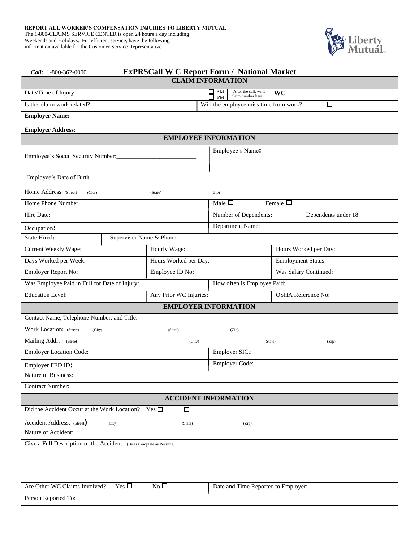information available for the Customer Service Representative



| Call: 1-800-362-0000                                                  | <b>ExPRSCall W C Report Form / National Market</b> |                                                             |                                               |  |  |
|-----------------------------------------------------------------------|----------------------------------------------------|-------------------------------------------------------------|-----------------------------------------------|--|--|
| <b>CLAIM INFORMATION</b>                                              |                                                    |                                                             |                                               |  |  |
| Date/Time of Injury                                                   |                                                    | After the call, write<br>$\prod_{PM}$<br>claim number here: | WC                                            |  |  |
| Is this claim work related?                                           |                                                    | Will the employee miss time from work?                      | $\Box$                                        |  |  |
| <b>Employer Name:</b>                                                 |                                                    |                                                             |                                               |  |  |
| <b>Employer Address:</b>                                              |                                                    |                                                             |                                               |  |  |
|                                                                       |                                                    | <b>EMPLOYEE INFORMATION</b>                                 |                                               |  |  |
| Employee's Social Security Number:                                    |                                                    | Employee's Name:                                            |                                               |  |  |
|                                                                       |                                                    |                                                             |                                               |  |  |
| Home Address: (Street)<br>(City)                                      | (State)                                            | (Zip)                                                       |                                               |  |  |
| Home Phone Number:                                                    |                                                    | Male $\Box$                                                 | Female $\Box$                                 |  |  |
| Hire Date:                                                            |                                                    |                                                             | Number of Dependents:<br>Dependents under 18: |  |  |
| Occupation:                                                           |                                                    | Department Name:                                            |                                               |  |  |
| State Hired:                                                          | Supervisor Name & Phone:                           |                                                             |                                               |  |  |
| Current Weekly Wage:                                                  | Hourly Wage:                                       |                                                             | Hours Worked per Day:                         |  |  |
| Days Worked per Week:                                                 | Hours Worked per Day:                              |                                                             | <b>Employment Status:</b>                     |  |  |
| Employer Report No:                                                   | Employee ID No:                                    |                                                             | Was Salary Continued:                         |  |  |
| Was Employee Paid in Full for Date of Injury:                         |                                                    | How often is Employee Paid:                                 |                                               |  |  |
| <b>Education Level:</b>                                               | Any Prior WC Injuries:                             |                                                             | <b>OSHA Reference No:</b>                     |  |  |
|                                                                       |                                                    | <b>EMPLOYER INFORMATION</b>                                 |                                               |  |  |
| Contact Name, Telephone Number, and Title:                            |                                                    |                                                             |                                               |  |  |
| Work Location: (Street)<br>(City)                                     | (State)                                            | (Zip)                                                       |                                               |  |  |
| Mailing Addr: (Street)                                                | (City)                                             |                                                             | (State)<br>(Zip)                              |  |  |
| <b>Employer Location Code:</b>                                        |                                                    | Employer SIC.:                                              |                                               |  |  |
| Employer FED ID:                                                      |                                                    | Employer Code:                                              |                                               |  |  |
| Nature of Business:                                                   |                                                    |                                                             |                                               |  |  |
| <b>Contract Number:</b>                                               |                                                    |                                                             |                                               |  |  |
| <b>ACCIDENT INFORMATION</b>                                           |                                                    |                                                             |                                               |  |  |
| Did the Accident Occur at the Work Location? Yes $\Box$               | $\Box$                                             |                                                             |                                               |  |  |
| Accident Address: (Street)<br>(City)                                  | (State)                                            | (Zip)                                                       |                                               |  |  |
| Nature of Accident:                                                   |                                                    |                                                             |                                               |  |  |
| Give a Full Description of the Accident: (Be as Complete as Possible) |                                                    |                                                             |                                               |  |  |
|                                                                       |                                                    |                                                             |                                               |  |  |

| Are Other WC Claims Involved? | $\mathbf{v}_{\text{es}}$ $\Box$ | $\rm No$ $\Box$ | Date and Time Reported to Employer: |
|-------------------------------|---------------------------------|-----------------|-------------------------------------|
| Person Reported To:           |                                 |                 |                                     |